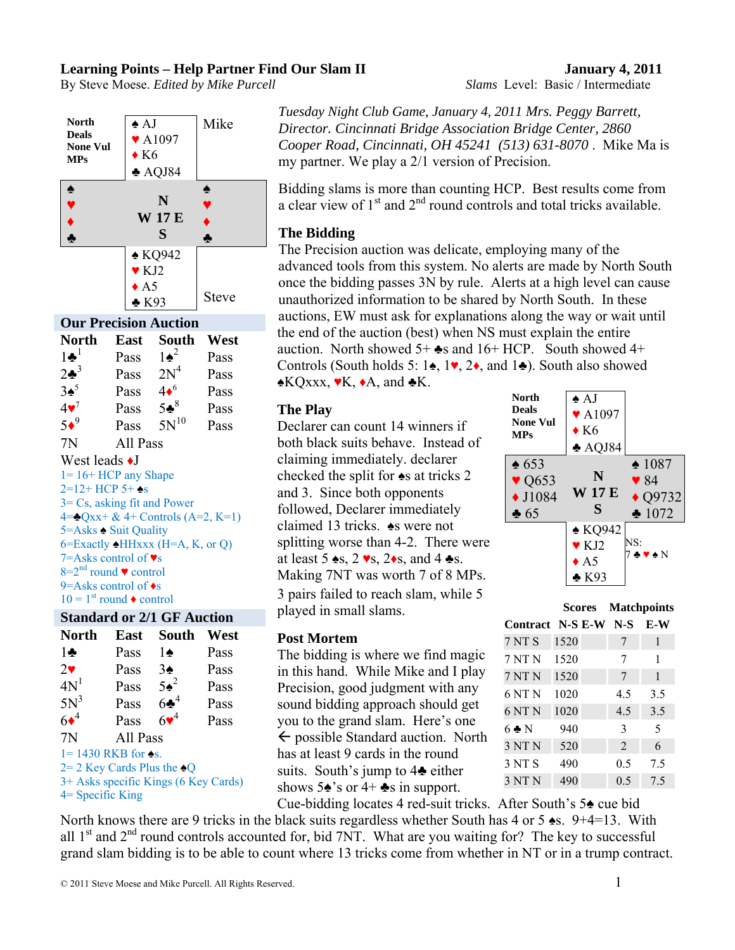## **Learning Points – Help Partner Find Our Slam II January 4, 2011**

By Steve Moese. *Edited by Mike Purcell Slams* Level: Basic / Intermediate

**North Deals None Vul MPs** ♠ AJ Mike ♥ A1097  $\triangle$  K6 ♣ AQJ84 ♠ **N W 17 E**  ♦ ♦ **S**  ♠ **▼ ▼** ♣ ♣ ♠ KQ942 Steve ♥ KJ2  $\triangle$  A5 ♣ K93 **Our Precision Auction North East South West**   $1\bullet^1$  Pass  $1\bullet^2$  Pass  $2\bullet^3$  Pass  $2N^4$  Pass  $3♦<sup>5</sup>$ Pass  $4\bullet^6$  Pass  $4\bullet^7$ Pass  $5\cdot\frac{8}{3}$ <sup>8</sup> Pass  $5\bullet^9$ Pass  $5N^{10}$  Pass 7N All Pass West leads  $\triangleleft$ J  $1= 16+ HCP$  any Shape 2=12+ HCP 5+ ♠s 3= Cs, asking fit and Power  $4=$   $Qxx+ & 4+$  Controls (A=2, K=1) 5=Asks ♠ Suit Quality  $6=$ Exactly  $\triangle$ HHxxx (H=A, K, or Q) 7=Asks control of ♥s  $8=2<sup>nd</sup>$  round  $\bullet$  control 9=Asks control of ♦s  $10 = 1$ <sup>st</sup> round  $\bullet$  control

## **Standard or 2/1 GF Auction**

| North                                  | East     | South           | West |
|----------------------------------------|----------|-----------------|------|
| $1\clubsuit$                           | Pass     | 1♠              | Pass |
| $2\bullet$                             | Pass     | $3\spadesuit$   | Pass |
| 4N <sup>1</sup>                        | Pass     | $5\spadesuit^2$ | Pass |
| $5N^3$                                 | Pass     | $6\clubsuit^4$  | Pass |
| $6\bullet^4$                           | Pass     | $6\bullet^4$    | Pass |
| 7N                                     | All Pass |                 |      |
| $1 = 1430$ RKB for $\triangle$ s.      |          |                 |      |
| $2=2$ Key Cards Plus the $\triangle Q$ |          |                 |      |
| 3+ Asks specific Kings (6 Key Cards)   |          |                 |      |
| $4 =$ Specific King                    |          |                 |      |

*Tuesday Night Club Game, January 4, 2011 Mrs. Peggy Barrett, Director. Cincinnati Bridge Association Bridge Center, 2860 Cooper Road, Cincinnati, OH 45241 (513) 631-8070* . Mike Ma is my partner. We play a 2/1 version of Precision.

Bidding slams is more than counting HCP. Best results come from a clear view of  $1<sup>st</sup>$  and  $2<sup>nd</sup>$  round controls and total tricks available.

## **The Bidding**

The Precision auction was delicate, employing many of the advanced tools from this system. No alerts are made by North South once the bidding passes 3N by rule. Alerts at a high level can cause unauthorized information to be shared by North South. In these auctions, EW must ask for explanations along the way or wait until the end of the auction (best) when NS must explain the entire auction. North showed  $5+$   $\clubsuit$ s and  $16+$  HCP. South showed  $4+$ Controls (South holds 5: 1♠, 1♥, 2♦, and 1♣). South also showed  $\triangle KQxxxx, \blacktriangleright K, \blacktriangleright A, \text{ and } \blacktriangleright K.$ 

#### **The Play**

Declarer can count 14 winners if both black suits behave. Instead of claiming immediately. declarer checked the split for ♠s at tricks 2 and 3. Since both opponents followed, Declarer immediately claimed 13 tricks. ♠s were not splitting worse than 4-2. There were at least 5  $\triangle$ s, 2  $\triangleright$ s, 2 $\triangle$ s, and 4  $\triangle$ s. Making 7NT was worth 7 of 8 MPs. 3 pairs failed to reach slam, while 5 played in small slams.

## **Post Mortem**

The bidding is where we find magic in this hand. While Mike and I play Precision, good judgment with any sound bidding approach should get you to the grand slam. Here's one  $\leftarrow$  possible Standard auction. North has at least 9 cards in the round suits. South's jump to 4♣ either shows  $5\triangle$ 's or  $4+\triangle$ s in support.

| <b>North</b><br><b>Deals</b><br><b>None Vul</b><br><b>MPs</b>                   | $\star$ AJ<br>$\blacktriangledown$ A1097<br>$\bullet$ K6<br>$\triangle$ AQJ84    |                                                                               |
|---------------------------------------------------------------------------------|----------------------------------------------------------------------------------|-------------------------------------------------------------------------------|
| $\triangle$ 653<br>$\blacktriangledown$ Q653<br>$\blacklozenge$ J1084<br>$* 65$ | N<br>W 17 E<br>S                                                                 | $\div 1087$<br>$\blacktriangledown 84$<br>$\triangle$ Q9732<br>$\bullet$ 1072 |
|                                                                                 | $\triangle$ KQ942<br>$\blacktriangledown$ KJ2<br>$\triangle$ A5<br>$\bullet$ K93 | NS:<br>♣♥♠N                                                                   |

|                      | Scores |  | <b>Matchpoints</b> |     |
|----------------------|--------|--|--------------------|-----|
| Contract N-S E-W N-S |        |  |                    | E-W |
| 7 NT S               | 1520   |  | 7                  | 1   |
| 7 NT N               | 1520   |  | 7                  | 1   |
| 7 NT N               | 1520   |  | 7                  | 1   |
| 6 NT N               | 1020   |  | 4.5                | 3.5 |
| 6 NT <sub>N</sub>    | 1020   |  | 4.5                | 3.5 |
| $6 \triangle N$      | 940    |  | 3                  | 5   |
| 3 NT N               | 520    |  | $\overline{2}$     | 6   |
| 3 NT S               | 490    |  | 0.5                | 7.5 |
| 3 NT N               | 490    |  | 0.5                | 7.5 |

Cue-bidding locates 4 red-suit tricks. After South's 5♠ cue bid North knows there are 9 tricks in the black suits regardless whether South has 4 or 5  $\bullet$ s. 9+4=13. With all  $1<sup>st</sup>$  and  $2<sup>nd</sup>$  round controls accounted for, bid 7NT. What are you waiting for? The key to successful grand slam bidding is to be able to count where 13 tricks come from whether in NT or in a trump contract.